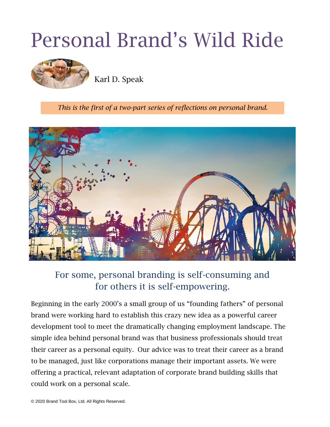# Personal Brand's Wild Ride



Karl D. Speak

*This is the first of a two-part series of reflections on personal brand.*



## For some, personal branding is self-consuming and for others it is self-empowering.

Beginning in the early 2000's a small group of us "founding fathers" of personal brand were working hard to establish this crazy new idea as a powerful career development tool to meet the dramatically changing employment landscape. The simple idea behind personal brand was that business professionals should treat their career as a personal equity. Our advice was to treat their career as a brand to be managed, just like corporations manage their important assets. We were offering a practical, relevant adaptation of corporate brand building skills that could work on a personal scale.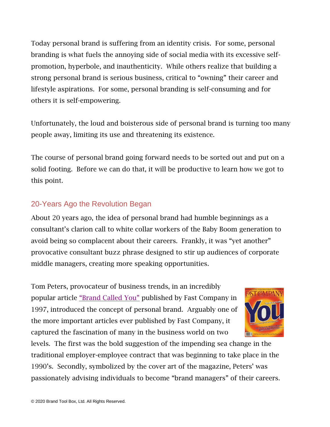Today personal brand is suffering from an identity crisis. For some, personal branding is what fuels the annoying side of social media with its excessive selfpromotion, hyperbole, and inauthenticity. While others realize that building a strong personal brand is serious business, critical to "owning" their career and lifestyle aspirations. For some, personal branding is self-consuming and for others it is self-empowering.

Unfortunately, the loud and boisterous side of personal brand is turning too many people away, limiting its use and threatening its existence.

The course of personal brand going forward needs to be sorted out and put on a solid footing. Before we can do that, it will be productive to learn how we got to this point.

### 20-Years Ago the Revolution Began

About 20 years ago, the idea of personal brand had humble beginnings as a consultant's clarion call to white collar workers of the Baby Boom generation to avoid being so complacent about their careers. Frankly, it was "yet another" provocative consultant buzz phrase designed to stir up audiences of corporate middle managers, creating more speaking opportunities.

Tom Peters, provocateur of business trends, in an incredibly popular article ["Brand Called You"](http://bit.ly/2iGU7tH) published by Fast Company in 1997, introduced the concept of personal brand. Arguably one of the more important articles ever published by Fast Company, it captured the fascination of many in the business world on two



levels. The first was the bold suggestion of the impending sea change in the traditional employer-employee contract that was beginning to take place in the 1990's. Secondly, symbolized by the cover art of the magazine, Peters' was passionately advising individuals to become "brand managers" of their careers.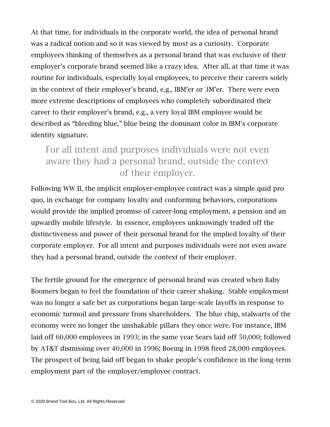At that time, for individuals in the corporate world, the idea of personal brand was a radical notion and so it was viewed by most as a curiosity. Corporate employees thinking of themselves as a personal brand that was exclusive of their employer's corporate brand seemed like a crazy idea. After all, at that time it was routine for individuals, especially loyal employees, to perceive their careers solely in the context of their employer's brand, e.g., IBM'er or 3M'er. There were even more extreme descriptions of employees who completely subordinated their career to their employer's brand, e.g., a very loyal IBM employee would be described as "bleeding blue," blue being the dominant color in IBM's corporate identity signature.

## For all intent and purposes individuals were not even aware they had a personal brand, outside the context of their employer.

Following WW II, the implicit employer-employee contract was a simple quid pro quo, in exchange for company loyalty and conforming behaviors, corporations would provide the implied promise of career-long employment, a pension and an upwardly mobile lifestyle. In essence, employees unknowingly traded off the distinctiveness and power of their personal brand for the implied loyalty of their corporate employer. For all intent and purposes individuals were not even aware they had a personal brand, outside the context of their employer.

The fertile ground for the emergence of personal brand was created when Baby Boomers began to feel the foundation of their career shaking. Stable employment was no longer a safe bet as corporations began large-scale layoffs in response to economic turmoil and pressure from shareholders. The blue chip, stalwarts of the economy were no longer the unshakable pillars they once were. For instance, IBM laid off 60,000 employees in 1993; in the same year Sears laid off 50,000; followed by AT&T dismissing over 40,000 in 1996; Boeing in 1998 fired 28,000 employees. The prospect of being laid off began to shake people's confidence in the long-term employment part of the employer/employee contract.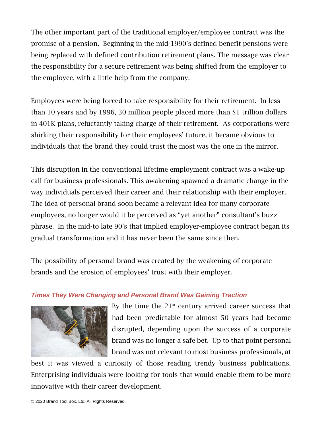The other important part of the traditional employer/employee contract was the promise of a pension. Beginning in the mid-1990's defined benefit pensions were being replaced with defined contribution retirement plans. The message was clear the responsibility for a secure retirement was being shifted from the employer to the employee, with a little help from the company.

Employees were being forced to take responsibility for their retirement. In less than 10 years and by 1996, 30 million people placed more than \$1 trillion dollars in 401K plans, reluctantly taking charge of their retirement. As corporations were shirking their responsibility for their employees' future, it became obvious to individuals that the brand they could trust the most was the one in the mirror.

This disruption in the conventional lifetime employment contract was a wake-up call for business professionals. This awakening spawned a dramatic change in the way individuals perceived their career and their relationship with their employer. The idea of personal brand soon became a relevant idea for many corporate employees, no longer would it be perceived as "yet another" consultant's buzz phrase. In the mid-to late 90's that implied employer-employee contract began its gradual transformation and it has never been the same since then.

The possibility of personal brand was created by the weakening of corporate brands and the erosion of employees' trust with their employer.

#### *Times They Were Changing and Personal Brand Was Gaining Traction*



By the time the  $21<sup>st</sup>$  century arrived career success that had been predictable for almost 50 years had become disrupted, depending upon the success of a corporate brand was no longer a safe bet. Up to that point personal brand was not relevant to most business professionals, at

best it was viewed a curiosity of those reading trendy business publications. Enterprising individuals were looking for tools that would enable them to be more innovative with their career development.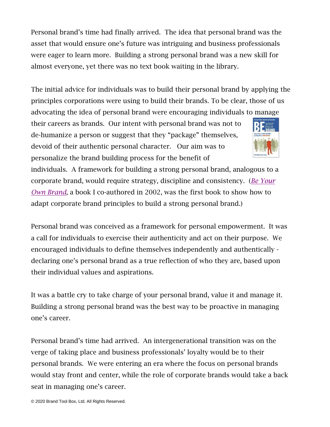Personal brand's time had finally arrived. The idea that personal brand was the asset that would ensure one's future was intriguing and business professionals were eager to learn more. Building a strong personal brand was a new skill for almost everyone, yet there was no text book waiting in the library.

The initial advice for individuals was to build their personal brand by applying the principles corporations were using to build their brands. To be clear, those of us advocating the idea of personal brand were encouraging individuals to manage

their careers as brands. Our intent with personal brand was not to de-humanize a person or suggest that they "package" themselves, devoid of their authentic personal character. Our aim was to personalize the brand building process for the benefit of



individuals. A framework for building a strong personal brand, analogous to a corporate brand, would require strategy, discipline and consistency. (*[Be Your](https://www.amazon.com/Be-Your-Own-Brand-Achieve-ebook/dp/B00F9FMYEG/ref=sr_1_1?crid=1D72K32OFN6Q5&dchild=1&keywords=be+your+own+brand&qid=1587158770&sprefix=be+your+own+br%2Caps%2C172&sr=8-1)  [Own Brand](https://www.amazon.com/Be-Your-Own-Brand-Achieve-ebook/dp/B00F9FMYEG/ref=sr_1_1?crid=1D72K32OFN6Q5&dchild=1&keywords=be+your+own+brand&qid=1587158770&sprefix=be+your+own+br%2Caps%2C172&sr=8-1)*, a book I co-authored in 2002, was the first book to show how to adapt corporate brand principles to build a strong personal brand.)

Personal brand was conceived as a framework for personal empowerment. It was a call for individuals to exercise their authenticity and act on their purpose. We encouraged individuals to define themselves independently and authentically declaring one's personal brand as a true reflection of who they are, based upon their individual values and aspirations.

It was a battle cry to take charge of your personal brand, value it and manage it. Building a strong personal brand was the best way to be proactive in managing one's career.

Personal brand's time had arrived. An intergenerational transition was on the verge of taking place and business professionals' loyalty would be to their personal brands. We were entering an era where the focus on personal brands would stay front and center, while the role of corporate brands would take a back seat in managing one's career.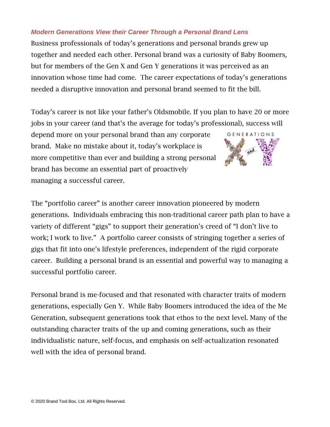#### *Modern Generations View their Career Through a Personal Brand Lens*

Business professionals of today's generations and personal brands grew up together and needed each other. Personal brand was a curiosity of Baby Boomers, but for members of the Gen X and Gen Y generations it was perceived as an innovation whose time had come. The career expectations of today's generations needed a disruptive innovation and personal brand seemed to fit the bill.

Today's career is not like your father's Oldsmobile. If you plan to have 20 or more jobs in your career (and that's the average for today's professional), success will

depend more on your personal brand than any corporate brand. Make no mistake about it, today's workplace is more competitive than ever and building a strong personal brand has become an essential part of proactively managing a successful career.



The "portfolio career" is another career innovation pioneered by modern generations. Individuals embracing this non-traditional career path plan to have a variety of different "gigs" to support their generation's creed of "I don't live to work; I work to live." A portfolio career consists of stringing together a series of gigs that fit into one's lifestyle preferences, independent of the rigid corporate career. Building a personal brand is an essential and powerful way to managing a successful portfolio career.

Personal brand is me-focused and that resonated with character traits of modern generations, especially Gen Y. While Baby Boomers introduced the idea of the Me Generation, subsequent generations took that ethos to the next level. Many of the outstanding character traits of the up and coming generations, such as their individualistic nature, self-focus, and emphasis on self-actualization resonated well with the idea of personal brand.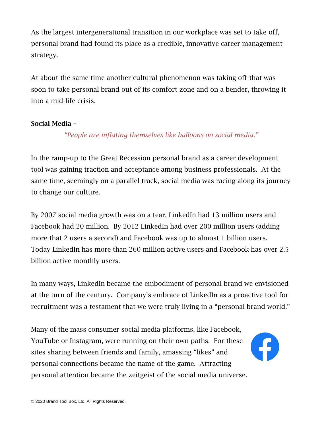As the largest intergenerational transition in our workplace was set to take off, personal brand had found its place as a credible, innovative career management strategy.

At about the same time another cultural phenomenon was taking off that was soon to take personal brand out of its comfort zone and on a bender, throwing it into a mid-life crisis.

#### Social Media –

#### *"People are inflating themselves like balloons on social media."*

In the ramp-up to the Great Recession personal brand as a career development tool was gaining traction and acceptance among business professionals. At the same time, seemingly on a parallel track, social media was racing along its journey to change our culture.

By 2007 social media growth was on a tear, LinkedIn had 13 million users and Facebook had 20 million. By 2012 LinkedIn had over 200 million users (adding more that 2 users a second) and Facebook was up to almost 1 billion users. Today LinkedIn has more than 260 million active users and Facebook has over 2.5 billion active monthly users.

In many ways, LinkedIn became the embodiment of personal brand we envisioned at the turn of the century. Company's embrace of LinkedIn as a proactive tool for recruitment was a testament that we were truly living in a "personal brand world."

Many of the mass consumer social media platforms, like Facebook, YouTube or Instagram, were running on their own paths. For these sites sharing between friends and family, amassing "likes" and personal connections became the name of the game. Attracting personal attention became the zeitgeist of the social media universe.

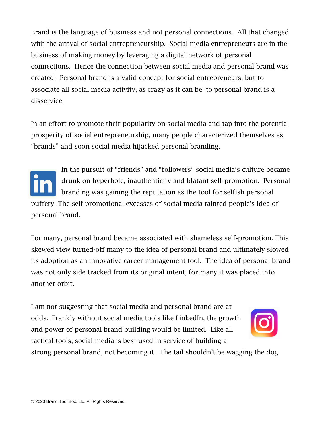Brand is the language of business and not personal connections. All that changed with the arrival of social entrepreneurship. Social media entrepreneurs are in the business of making money by leveraging a digital network of personal connections. Hence the connection between social media and personal brand was created. Personal brand is a valid concept for social entrepreneurs, but to associate all social media activity, as crazy as it can be, to personal brand is a disservice.

In an effort to promote their popularity on social media and tap into the potential prosperity of social entrepreneurship, many people characterized themselves as "brands" and soon social media hijacked personal branding.

In the pursuit of "friends" and "followers" social media's culture became drunk on hyperbole, inauthenticity and blatant self-promotion. Personal branding was gaining the reputation as the tool for selfish personal puffery. The self-promotional excesses of social media tainted people's idea of personal brand.

For many, personal brand became associated with shameless self-promotion. This skewed view turned-off many to the idea of personal brand and ultimately slowed its adoption as an innovative career management tool. The idea of personal brand was not only side tracked from its original intent, for many it was placed into another orbit.

I am not suggesting that social media and personal brand are at odds. Frankly without social media tools like LinkedIn, the growth and power of personal brand building would be limited. Like all tactical tools, social media is best used in service of building a



strong personal brand, not becoming it. The tail shouldn't be wagging the dog.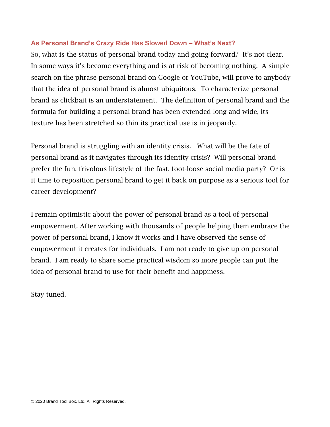#### **As Personal Brand's Crazy Ride Has Slowed Down – What's Next?**

So, what is the status of personal brand today and going forward? It's not clear. In some ways it's become everything and is at risk of becoming nothing. A simple search on the phrase personal brand on Google or YouTube, will prove to anybody that the idea of personal brand is almost ubiquitous. To characterize personal brand as clickbait is an understatement. The definition of personal brand and the formula for building a personal brand has been extended long and wide, its texture has been stretched so thin its practical use is in jeopardy.

Personal brand is struggling with an identity crisis. What will be the fate of personal brand as it navigates through its identity crisis? Will personal brand prefer the fun, frivolous lifestyle of the fast, foot-loose social media party? Or is it time to reposition personal brand to get it back on purpose as a serious tool for career development?

I remain optimistic about the power of personal brand as a tool of personal empowerment. After working with thousands of people helping them embrace the power of personal brand, I know it works and I have observed the sense of empowerment it creates for individuals. I am not ready to give up on personal brand. I am ready to share some practical wisdom so more people can put the idea of personal brand to use for their benefit and happiness.

Stay tuned.